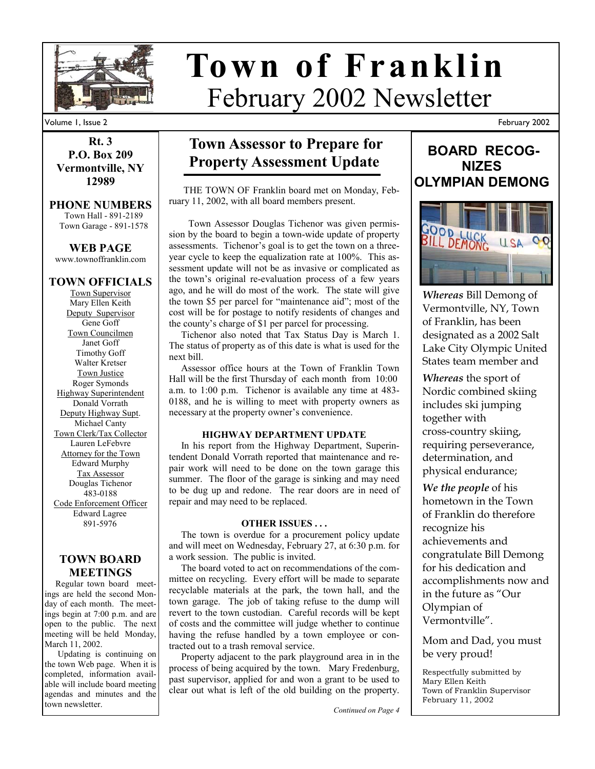

# February 2002 Newsletter **Town of Franklin**

February 2002

# Volume 1, Issue 2

**Rt. 3 P.O. Box 209 Vermontville, NY 12989** 

#### **PHONE NUMBERS**  Town Hall - 891-2189

Town Garage - 891-1578

**WEB PAGE**  www.townoffranklin.com

# **TOWN OFFICIALS**

Town Supervisor Mary Ellen Keith Deputy Supervisor Gene Goff Town Councilmen Janet Goff Timothy Goff Walter Kretser Town Justice Roger Symonds Highway Superintendent Donald Vorrath Deputy Highway Supt. Michael Canty Town Clerk/Tax Collector Lauren LeFebvre Attorney for the Town Edward Murphy Tax Assessor Douglas Tichenor 483-0188 Code Enforcement Officer Edward Lagree 891-5976

## **TOWN BOARD MEETINGS**

 Regular town board meetings are held the second Monday of each month. The meetings begin at 7:00 p.m. and are open to the public. The next meeting will be held Monday, March 11, 2002.

 Updating is continuing on the town Web page. When it is completed, information available will include board meeting agendas and minutes and the town newsletter.

# **Town Assessor to Prepare for Property Assessment Update**

 THE TOWN OF Franklin board met on Monday, February 11, 2002, with all board members present.

 Town Assessor Douglas Tichenor was given permission by the board to begin a town-wide update of property assessments. Tichenor's goal is to get the town on a threeyear cycle to keep the equalization rate at 100%. This assessment update will not be as invasive or complicated as the town's original re-evaluation process of a few years ago, and he will do most of the work. The state will give the town \$5 per parcel for "maintenance aid"; most of the cost will be for postage to notify residents of changes and the county's charge of \$1 per parcel for processing.

 Tichenor also noted that Tax Status Day is March 1. The status of property as of this date is what is used for the next bill.

 Assessor office hours at the Town of Franklin Town Hall will be the first Thursday of each month from 10:00 a.m. to 1:00 p.m. Tichenor is available any time at 483- 0188, and he is willing to meet with property owners as necessary at the property owner's convenience.

## **HIGHWAY DEPARTMENT UPDATE**

 In his report from the Highway Department, Superintendent Donald Vorrath reported that maintenance and repair work will need to be done on the town garage this summer. The floor of the garage is sinking and may need to be dug up and redone. The rear doors are in need of repair and may need to be replaced.

## **OTHER ISSUES . . .**

 The town is overdue for a procurement policy update and will meet on Wednesday, February 27, at 6:30 p.m. for a work session. The public is invited.

 The board voted to act on recommendations of the committee on recycling. Every effort will be made to separate recyclable materials at the park, the town hall, and the town garage. The job of taking refuse to the dump will revert to the town custodian. Careful records will be kept of costs and the committee will judge whether to continue having the refuse handled by a town employee or contracted out to a trash removal service.

 Property adjacent to the park playground area in in the process of being acquired by the town. Mary Fredenburg, past supervisor, applied for and won a grant to be used to clear out what is left of the old building on the property.

*Continued on Page 4* 



*Whereas* Bill Demong of Vermontville, NY, Town of Franklin, has been designated as a 2002 Salt Lake City Olympic United States team member and

*Whereas* the sport of Nordic combined skiing includes ski jumping together with cross-country skiing, requiring perseverance, determination, and physical endurance;

*We the people* of his hometown in the Town of Franklin do therefore recognize his achievements and congratulate Bill Demong for his dedication and accomplishments now and in the future as "Our Olympian of Vermontville".

Mom and Dad, you must be very proud!

Respectfully submitted by Mary Ellen Keith Town of Franklin Supervisor February 11, 2002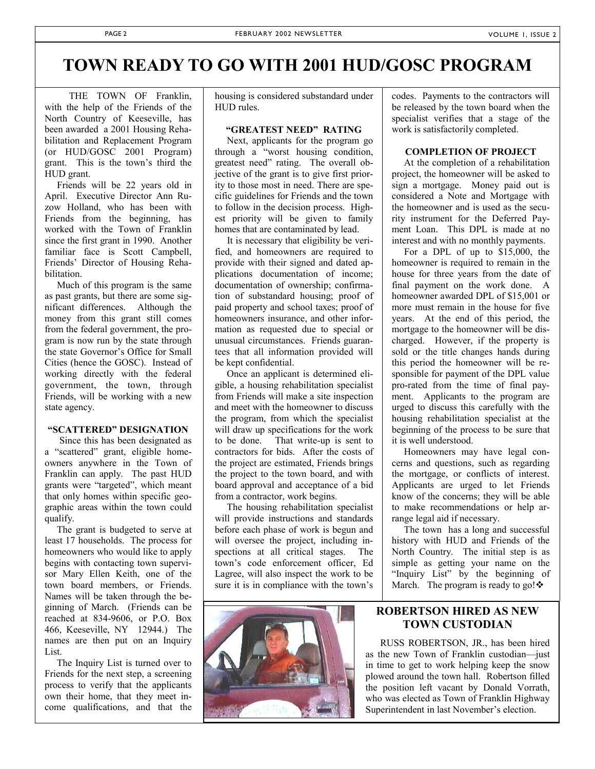# **TOWN READY TO GO WITH 2001 HUD/GOSC PROGRAM**

 THE TOWN OF Franklin, with the help of the Friends of the North Country of Keeseville, has been awarded a 2001 Housing Rehabilitation and Replacement Program (or HUD/GOSC 2001 Program) grant. This is the town's third the HUD grant.

 Friends will be 22 years old in April. Executive Director Ann Ruzow Holland, who has been with Friends from the beginning, has worked with the Town of Franklin since the first grant in 1990. Another familiar face is Scott Campbell, Friends' Director of Housing Rehabilitation.

 Much of this program is the same as past grants, but there are some significant differences. Although the money from this grant still comes from the federal government, the program is now run by the state through the state Governor's Office for Small Cities (hence the GOSC). Instead of working directly with the federal government, the town, through Friends, will be working with a new state agency.

#### **"SCATTERED" DESIGNATION**

 Since this has been designated as a "scattered" grant, eligible homeowners anywhere in the Town of Franklin can apply. The past HUD grants were "targeted", which meant that only homes within specific geographic areas within the town could qualify.

 The grant is budgeted to serve at least 17 households. The process for homeowners who would like to apply begins with contacting town supervisor Mary Ellen Keith, one of the town board members, or Friends. Names will be taken through the beginning of March. (Friends can be reached at 834-9606, or P.O. Box 466, Keeseville, NY 12944.) The names are then put on an Inquiry List.

 The Inquiry List is turned over to Friends for the next step, a screening process to verify that the applicants own their home, that they meet income qualifications, and that the

housing is considered substandard under HUD rules.

## **"GREATEST NEED" RATING**

 Next, applicants for the program go through a "worst housing condition, greatest need" rating. The overall objective of the grant is to give first priority to those most in need. There are specific guidelines for Friends and the town to follow in the decision process. Highest priority will be given to family homes that are contaminated by lead.

 It is necessary that eligibility be verified, and homeowners are required to provide with their signed and dated applications documentation of income; documentation of ownership; confirmation of substandard housing; proof of paid property and school taxes; proof of homeowners insurance, and other information as requested due to special or unusual circumstances. Friends guarantees that all information provided will be kept confidential.

 Once an applicant is determined eligible, a housing rehabilitation specialist from Friends will make a site inspection and meet with the homeowner to discuss the program, from which the specialist will draw up specifications for the work to be done. That write-up is sent to contractors for bids. After the costs of the project are estimated, Friends brings the project to the town board, and with board approval and acceptance of a bid from a contractor, work begins.

 The housing rehabilitation specialist will provide instructions and standards before each phase of work is begun and will oversee the project, including inspections at all critical stages. The town's code enforcement officer, Ed Lagree, will also inspect the work to be sure it is in compliance with the town's



codes. Payments to the contractors will be released by the town board when the specialist verifies that a stage of the work is satisfactorily completed.

## **COMPLETION OF PROJECT**

 At the completion of a rehabilitation project, the homeowner will be asked to sign a mortgage. Money paid out is considered a Note and Mortgage with the homeowner and is used as the security instrument for the Deferred Payment Loan. This DPL is made at no interest and with no monthly payments.

 For a DPL of up to \$15,000, the homeowner is required to remain in the house for three years from the date of final payment on the work done. A homeowner awarded DPL of \$15,001 or more must remain in the house for five years. At the end of this period, the mortgage to the homeowner will be discharged. However, if the property is sold or the title changes hands during this period the homeowner will be responsible for payment of the DPL value pro-rated from the time of final payment. Applicants to the program are urged to discuss this carefully with the housing rehabilitation specialist at the beginning of the process to be sure that it is well understood.

 Homeowners may have legal concerns and questions, such as regarding the mortgage, or conflicts of interest. Applicants are urged to let Friends know of the concerns; they will be able to make recommendations or help arrange legal aid if necessary.

 The town has a long and successful history with HUD and Friends of the North Country. The initial step is as simple as getting your name on the "Inquiry List" by the beginning of March. The program is ready to go! $\cdot$ 

# **ROBERTSON HIRED AS NEW TOWN CUSTODIAN**

 RUSS ROBERTSON, JR., has been hired as the new Town of Franklin custodian—just in time to get to work helping keep the snow plowed around the town hall. Robertson filled the position left vacant by Donald Vorrath, who was elected as Town of Franklin Highway Superintendent in last November's election.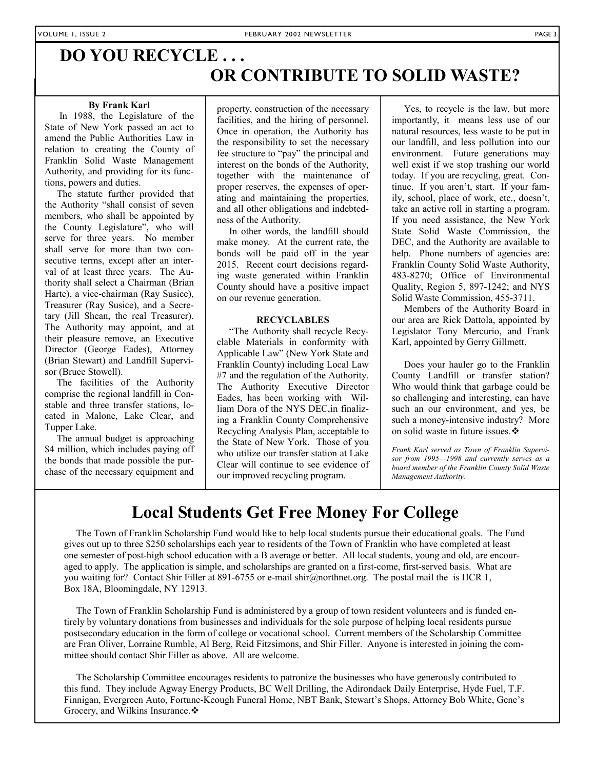# **DO YOU RECYCLE . . . OR CONTRIBUTE TO SOLID WASTE?**

## **By Frank Karl**

 In 1988, the Legislature of the State of New York passed an act to amend the Public Authorities Law in relation to creating the County of Franklin Solid Waste Management Authority, and providing for its functions, powers and duties.

 The statute further provided that the Authority "shall consist of seven members, who shall be appointed by the County Legislature", who will serve for three years. No member shall serve for more than two consecutive terms, except after an interval of at least three years. The Authority shall select a Chairman (Brian Harte), a vice-chairman (Ray Susice), Treasurer (Ray Susice), and a Secretary (Jill Shean, the real Treasurer). The Authority may appoint, and at their pleasure remove, an Executive Director (George Eades), Attorney (Brian Stewart) and Landfill Supervisor (Bruce Stowell).

 The facilities of the Authority comprise the regional landfill in Constable and three transfer stations, located in Malone, Lake Clear, and Tupper Lake.

 The annual budget is approaching \$4 million, which includes paying off the bonds that made possible the purchase of the necessary equipment and property, construction of the necessary facilities, and the hiring of personnel. Once in operation, the Authority has the responsibility to set the necessary fee structure to "pay" the principal and interest on the bonds of the Authority, together with the maintenance of proper reserves, the expenses of operating and maintaining the properties, and all other obligations and indebtedness of the Authority.

 In other words, the landfill should make money. At the current rate, the bonds will be paid off in the year 2015. Recent court decisions regarding waste generated within Franklin County should have a positive impact on our revenue generation.

## **RECYCLABLES**

"The Authority shall recycle Recyclable Materials in conformity with Applicable Law" (New York State and Franklin County) including Local Law #7 and the regulation of the Authority. The Authority Executive Director Eades, has been working with William Dora of the NYS DEC,in finalizing a Franklin County Comprehensive Recycling Analysis Plan, acceptable to the State of New York. Those of you who utilize our transfer station at Lake Clear will continue to see evidence of our improved recycling program.

 Yes, to recycle is the law, but more importantly, it means less use of our natural resources, less waste to be put in our landfill, and less pollution into our environment. Future generations may well exist if we stop trashing our world today. If you are recycling, great. Continue. If you aren't, start. If your family, school, place of work, etc., doesn't, take an active roll in starting a program. If you need assistance, the New York State Solid Waste Commission, the DEC, and the Authority are available to help. Phone numbers of agencies are: Franklin County Solid Waste Authority, 483-8270; Office of Environmental Quality, Region 5, 897-1242; and NYS Solid Waste Commission, 455-3711.

 Members of the Authority Board in our area are Rick Dattola, appointed by Legislator Tony Mercurio, and Frank Karl, appointed by Gerry Gillmett.

 Does your hauler go to the Franklin County Landfill or transfer station? Who would think that garbage could be so challenging and interesting, can have such an our environment, and yes, be such a money-intensive industry? More on solid waste in future issues. ❖

*Frank Karl served as Town of Franklin Supervisor from 1995—1998 and currently serves as a board member of the Franklin County Solid Waste Management Authority.* 

# **Local Students Get Free Money For College**

 The Town of Franklin Scholarship Fund would like to help local students pursue their educational goals. The Fund gives out up to three \$250 scholarships each year to residents of the Town of Franklin who have completed at least one semester of post-high school education with a B average or better. All local students, young and old, are encouraged to apply. The application is simple, and scholarships are granted on a first-come, first-served basis. What are you waiting for? Contact Shir Filler at 891-6755 or e-mail shir@northnet.org. The postal mail the is HCR 1, Box 18A, Bloomingdale, NY 12913.

 The Town of Franklin Scholarship Fund is administered by a group of town resident volunteers and is funded entirely by voluntary donations from businesses and individuals for the sole purpose of helping local residents pursue postsecondary education in the form of college or vocational school. Current members of the Scholarship Committee are Fran Oliver, Lorraine Rumble, Al Berg, Reid Fitzsimons, and Shir Filler. Anyone is interested in joining the committee should contact Shir Filler as above. All are welcome.

 The Scholarship Committee encourages residents to patronize the businesses who have generously contributed to this fund. They include Agway Energy Products, BC Well Drilling, the Adirondack Daily Enterprise, Hyde Fuel, T.F. Finnigan, Evergreen Auto, Fortune-Keough Funeral Home, NBT Bank, Stewart's Shops, Attorney Bob White, Gene's Grocery, and Wilkins Insurance. ❖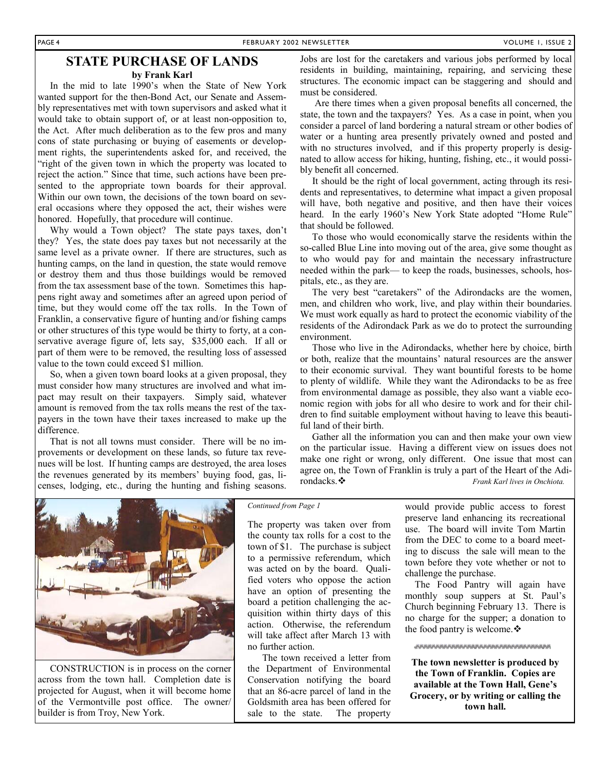# **STATE PURCHASE OF LANDS**

## **by Frank Karl**

In the mid to late 1990's when the State of New York wanted support for the then-Bond Act, our Senate and Assembly representatives met with town supervisors and asked what it would take to obtain support of, or at least non-opposition to, the Act. After much deliberation as to the few pros and many cons of state purchasing or buying of easements or development rights, the superintendents asked for, and received, the "right of the given town in which the property was located to reject the action." Since that time, such actions have been presented to the appropriate town boards for their approval. Within our own town, the decisions of the town board on several occasions where they opposed the act, their wishes were honored. Hopefully, that procedure will continue.

 Why would a Town object? The state pays taxes, don't they? Yes, the state does pay taxes but not necessarily at the same level as a private owner. If there are structures, such as hunting camps, on the land in question, the state would remove or destroy them and thus those buildings would be removed from the tax assessment base of the town. Sometimes this happens right away and sometimes after an agreed upon period of time, but they would come off the tax rolls. In the Town of Franklin, a conservative figure of hunting and/or fishing camps or other structures of this type would be thirty to forty, at a conservative average figure of, lets say, \$35,000 each. If all or part of them were to be removed, the resulting loss of assessed value to the town could exceed \$1 million.

 So, when a given town board looks at a given proposal, they must consider how many structures are involved and what impact may result on their taxpayers. Simply said, whatever amount is removed from the tax rolls means the rest of the taxpayers in the town have their taxes increased to make up the difference.

 That is not all towns must consider. There will be no improvements or development on these lands, so future tax revenues will be lost. If hunting camps are destroyed, the area loses the revenues generated by its members' buying food, gas, licenses, lodging, etc., during the hunting and fishing seasons.

Jobs are lost for the caretakers and various jobs performed by local residents in building, maintaining, repairing, and servicing these structures. The economic impact can be staggering and should and must be considered.

 Are there times when a given proposal benefits all concerned, the state, the town and the taxpayers? Yes. As a case in point, when you consider a parcel of land bordering a natural stream or other bodies of water or a hunting area presently privately owned and posted and with no structures involved, and if this property properly is designated to allow access for hiking, hunting, fishing, etc., it would possibly benefit all concerned.

 It should be the right of local government, acting through its residents and representatives, to determine what impact a given proposal will have, both negative and positive, and then have their voices heard. In the early 1960's New York State adopted "Home Rule" that should be followed.

 To those who would economically starve the residents within the so-called Blue Line into moving out of the area, give some thought as to who would pay for and maintain the necessary infrastructure needed within the park— to keep the roads, businesses, schools, hospitals, etc., as they are.

 The very best "caretakers" of the Adirondacks are the women, men, and children who work, live, and play within their boundaries. We must work equally as hard to protect the economic viability of the residents of the Adirondack Park as we do to protect the surrounding environment.

 Those who live in the Adirondacks, whether here by choice, birth or both, realize that the mountains' natural resources are the answer to their economic survival. They want bountiful forests to be home to plenty of wildlife. While they want the Adirondacks to be as free from environmental damage as possible, they also want a viable economic region with jobs for all who desire to work and for their children to find suitable employment without having to leave this beautiful land of their birth.

 Gather all the information you can and then make your own view on the particular issue. Having a different view on issues does not make one right or wrong, only different. One issue that most can agree on, the Town of Franklin is truly a part of the Heart of the Adirondacks. *Frank Karl lives in Onchiota.* 



 CONSTRUCTION is in process on the corner across from the town hall. Completion date is projected for August, when it will become home of the Vermontville post office. The owner/ builder is from Troy, New York.

#### *Continued from Page 1*

The property was taken over from the county tax rolls for a cost to the town of \$1. The purchase is subject to a permissive referendum, which was acted on by the board. Qualified voters who oppose the action have an option of presenting the board a petition challenging the acquisition within thirty days of this action. Otherwise, the referendum will take affect after March 13 with no further action.

 The town received a letter from the Department of Environmental Conservation notifying the board that an 86-acre parcel of land in the Goldsmith area has been offered for sale to the state. The property would provide public access to forest preserve land enhancing its recreational use. The board will invite Tom Martin from the DEC to come to a board meeting to discuss the sale will mean to the town before they vote whether or not to challenge the purchase.

 The Food Pantry will again have monthly soup suppers at St. Paul's Church beginning February 13. There is no charge for the supper; a donation to the food pantry is welcome. ❖

*anannannannannannannannan* 

**The town newsletter is produced by the Town of Franklin. Copies are available at the Town Hall, Gene's Grocery, or by writing or calling the town hall.**